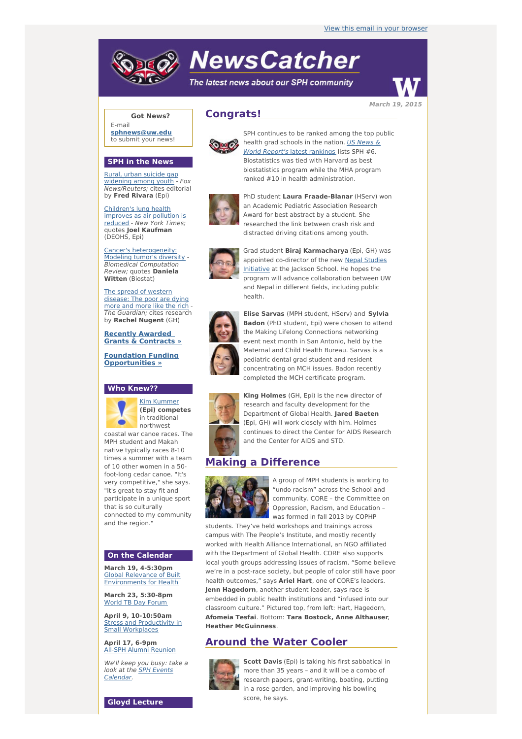# **NewsCatcher**

The latest news about our SPH community





E-mail **[sphnews@uw.edu](mailto:sphnews@uw.edu)** to submit your news!

#### **SPH in the News**

Rural, urban suicide gap [widening](http://engage.washington.edu/site/R?i=iAwpxRq_Wmr0OqXJ8mocCw) among youth - Fox News/Reuters; cites editorial by **Fred Rivara** (Epi)

[Children's](http://engage.washington.edu/site/R?i=-ge5WGE1L4OUDxTk1p9eXQ) lung health improves as air pollution is reduced - New York Times; quotes **Joel Kaufman** (DEOHS, Epi)

Cancer's [heterogeneity:](http://engage.washington.edu/site/R?i=jMhBZxVioypt3K4qFNiiWQ) Modeling tumor's diversity - Biomedical Computation Review; quotes **Daniela Witten** (Biostat)

The spread of western [disease:](http://engage.washington.edu/site/R?i=LteBKXIBpNcC1pVv-FJDHA) The poor are dying more and more like the rich The Guardian; cites research by **Rachel Nugent** (GH)

**Recently Awarded Grants & [Contracts](http://engage.washington.edu/site/R?i=vsGZKoGzEQRnly9huz0DUg) »**

**Foundation Funding [Opportunities](http://engage.washington.edu/site/R?i=Xc0QEJLKgDpaWZk7JFkeVg) »**

## **Who Knew??**



**(Epi) competes** in traditional northwest

coastal war canoe races. The MPH student and Makah native typically races 8-10 times a summer with a team of 10 other women in a 50 foot-long cedar canoe. "It's very competitive," she says. "It's great to stay fit and participate in a unique sport that is so culturally connected to my community and the region."

#### **On the Calendar**

**March 19, 4-5:30pm** Global Relevance of Built [Environments](http://engage.washington.edu/site/R?i=eXCmv6_PaDdERpjYzYKaMA) for Health

**March 23, 5:30-8pm** World TB Day [Forum](http://engage.washington.edu/site/R?i=9W7IZK_NViKeBfIaqeL_Mg)

**April 9, 10-10:50am Stress and [Productivity](http://engage.washington.edu/site/R?i=tnxVNLCsNvUVV3NPQhqaBA) in** Small Workplaces

**April 17, 6-9pm** All-SPH Alumni [Reunion](http://engage.washington.edu/site/R?i=UhV65131tvYbaYlkKw86rA)

**Gloyd Lecture**

We'll keep you busy: take a look at the SPH Events [Calendar.](http://engage.washington.edu/site/R?i=jayZgHT6v5757ZXauLHdeg)





SPH continues to be ranked among the top public health grad schools in the nation. US News & World Report's latest [rankings](http://engage.washington.edu/site/R?i=a7yh7OkEmLWswnjIWffGgw) lists SPH #6. Biostatistics was tied with Harvard as best biostatistics program while the MHA program ranked #10 in health administration.



PhD student **Laura Fraade-Blanar** (HServ) won an Academic Pediatric Association Research Award for best abstract by a student. She researched the link between crash risk and distracted driving citations among youth.



Grad student **Biraj Karmacharya** (Epi, GH) was appointed [co-director](http://engage.washington.edu/site/R?i=8jLYY8yPEt48-I-lxnkoQw) of the new Nepal Studies Initiative at the Jackson School. He hopes the program will advance collaboration between UW and Nepal in different fields, including public health.



**Elise Sarvas** (MPH student, HServ) and **Sylvia Badon** (PhD student, Epi) were chosen to attend the Making Lifelong Connections networking event next month in San Antonio, held by the Maternal and Child Health Bureau. Sarvas is a pediatric dental grad student and resident concentrating on MCH issues. Badon recently completed the MCH certificate program.



**King Holmes** (GH, Epi) is the new director of research and faculty development for the Department of Global Health. **Jared Baeten** (Epi, GH) will work closely with him. Holmes continues to direct the Center for AIDS Research and the Center for AIDS and STD.

## **Making a Difference**



A group of MPH students is working to "undo racism" across the School and community. CORE – the Committee on Oppression, Racism, and Education – was formed in fall 2013 by COPHP

students. They've held workshops and trainings across campus with The People's Institute, and mostly recently worked with Health Alliance International, an NGO affiliated with the Department of Global Health. CORE also supports local youth groups addressing issues of racism. "Some believe we're in a post-race society, but people of color still have poor health outcomes," says **Ariel Hart**, one of CORE's leaders. **Jenn Hagedorn**, another student leader, says race is embedded in public health institutions and "infused into our classroom culture." Pictured top, from left: Hart, Hagedorn, **Afomeia Tesfai**. Bottom: **Tara Bostock, Anne Althauser**, **Heather McGuinness**.

# **Around the Water Cooler**



**Scott Davis** (Epi) is taking his first sabbatical in more than 35 years – and it will be a combo of research papers, grant-writing, boating, putting in a rose garden, and improving his bowling score, he says.